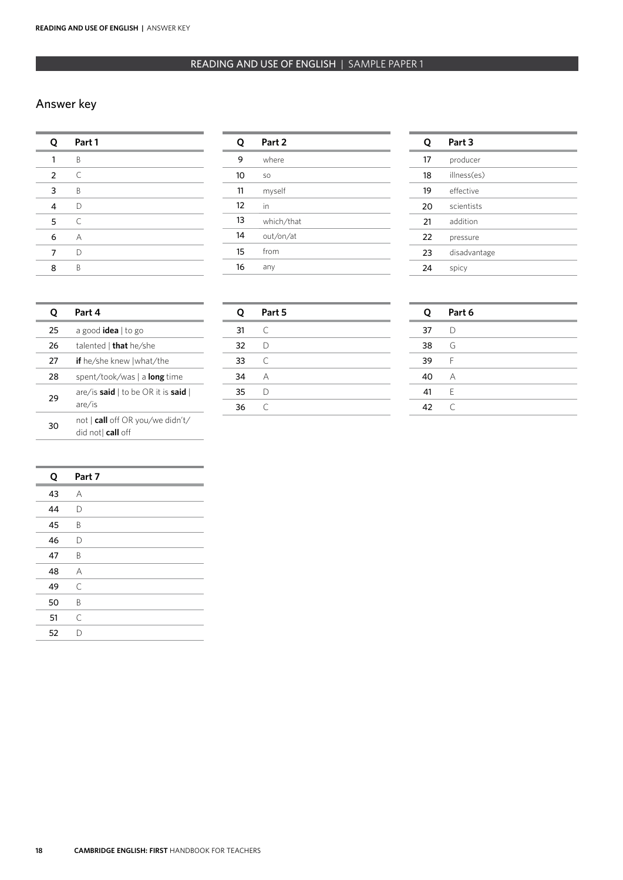### READING AND USE OF ENGLISH | SAMPLE PAPER 1

## Answer key

| Q              | Part 1 |
|----------------|--------|
| 1              | B      |
| $\overline{2}$ | C      |
| 3              | B      |
| 4              | D      |
| 5              | C      |
| 6              | Α      |
| 7              | D      |
| 8              | B      |

| O  | Part 2         |
|----|----------------|
| 9  | where          |
| 10 | S <sub>O</sub> |
| 11 | myself         |
| 12 | in             |
| 13 | which/that     |
| 14 | out/on/at      |
| 15 | from           |
| 16 | any            |
|    |                |

| Q  | Part 3       |
|----|--------------|
| 17 | producer     |
| 18 | illness(es)  |
| 19 | effective    |
| 20 | scientists   |
| 21 | addition     |
| 22 | pressure     |
| 23 | disadvantage |
| 24 | spicy        |
|    |              |

| Q  | Part 4                                                       |
|----|--------------------------------------------------------------|
| 25 | a good <b>idea</b>   to go                                   |
| 26 | talented   <b>that</b> he/she                                |
| 27 | <b>if</b> he/she knew  what/the                              |
| 28 | spent/took/was   a long time                                 |
| 29 | are/is <b>said</b> I to be OR it is <b>said</b> I<br>are/is  |
| 30 | not   call off OR you/we didn't/<br>did not  <b>call</b> off |

| Part 5 |
|--------|
| C      |
| D      |
| C.     |
| А      |
| I)     |
| C      |
|        |

| Q  | Part 6 |
|----|--------|
| 37 | D      |
| 38 | G      |
| 39 | F      |
| 40 | А      |
| 41 | F      |
| 42 | C      |

| Q  | Part 7 |
|----|--------|
| 43 | А      |
| 44 | D      |
| 45 | B      |
| 46 | D      |
| 47 | B      |
| 48 | Α      |
| 49 | C      |
| 50 | B      |
| 51 | C      |
| 52 | D      |
|    |        |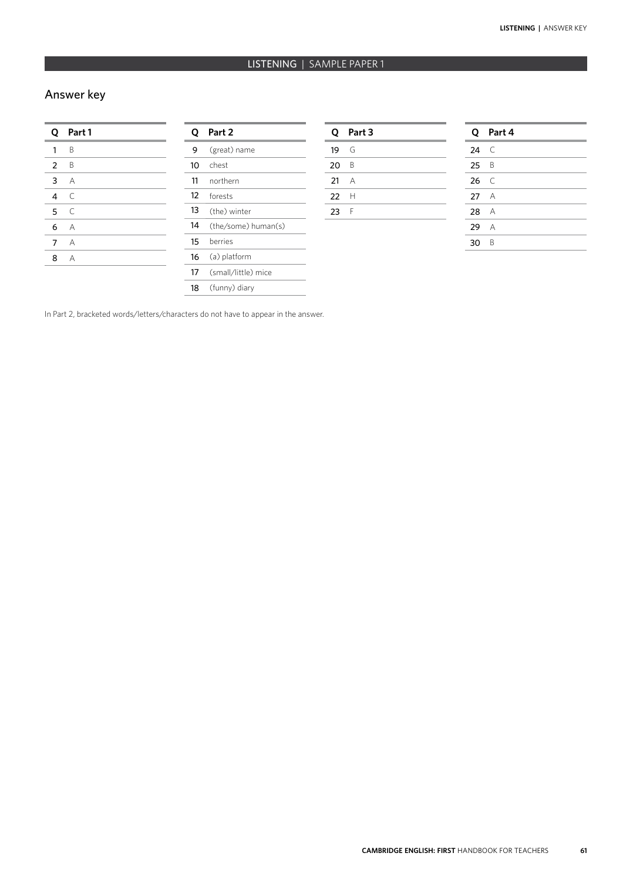### LISTENING | SAMPLE PAPER 1

## Answer key

|   | Part 1 | O  | Part 2              |
|---|--------|----|---------------------|
| 1 | B      | 9  | (great) name        |
| 2 | B      | 10 | chest               |
| 3 | A      | 11 | northern            |
| 4 | C      | 12 | forests             |
| 5 | С      | 13 | (the) winter        |
| 6 | A      | 14 | (the/some) human(s) |
| 7 | A      | 15 | berries             |
| 8 | A      | 16 | (a) platform        |
|   |        | 17 | (small/little) mice |
|   |        | 18 | (funny) diary       |

|              | Q Part 3 |                | Q Part 4 |
|--------------|----------|----------------|----------|
| 19 G         |          | 24 C           |          |
| 20 B         |          | 25 B           |          |
| $21 \quad A$ |          | $26$ C         |          |
| 22 H         |          | $27 \text{ A}$ |          |
| 23 F         |          | 28 A           |          |
|              |          | 29 A           |          |
|              |          | 30             | - B      |

In Part 2, bracketed words/letters/characters do not have to appear in the answer.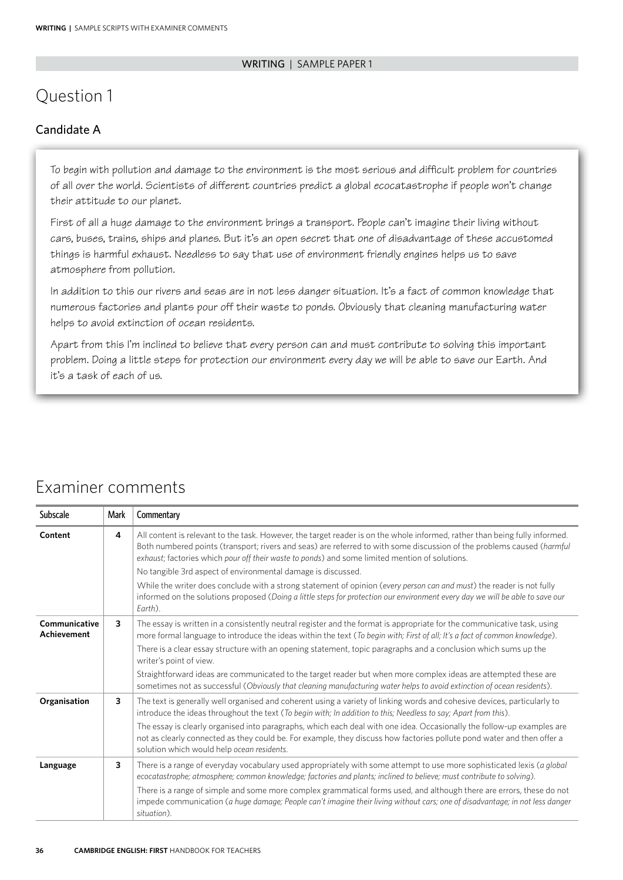# Question 1

## Candidate A

To begin with pollution and damage to the environment is the most serious and difficult problem for countries of all over the world. Scientists of different countries predict a global ecocatastrophe if people won't change their attitude to our planet.

First of all a huge damage to the environment brings a transport. People can't imagine their living without cars, buses, trains, ships and planes. But it's an open secret that one of disadvantage of these accustomed things is harmful exhaust. Needless to say that use of environment friendly engines helps us to save atmosphere from pollution.

In addition to this our rivers and seas are in not less danger situation. It's a fact of common knowledge that numerous factories and plants pour off their waste to ponds. Obviously that cleaning manufacturing water helps to avoid extinction of ocean residents.

Apart from this I'm inclined to believe that every person can and must contribute to solving this important problem. Doing a little steps for protection our environment every day we will be able to save our Earth. And it's a task of each of us.

| Subscale                            | Mark | Commentary                                                                                                                                                                                                                                                                                                                                                                                                                                                                                                                                                                                                                                                                                   |
|-------------------------------------|------|----------------------------------------------------------------------------------------------------------------------------------------------------------------------------------------------------------------------------------------------------------------------------------------------------------------------------------------------------------------------------------------------------------------------------------------------------------------------------------------------------------------------------------------------------------------------------------------------------------------------------------------------------------------------------------------------|
| Content                             | 4    | All content is relevant to the task. However, the target reader is on the whole informed, rather than being fully informed.<br>Both numbered points (transport; rivers and seas) are referred to with some discussion of the problems caused (harmful<br>exhaust; factories which pour off their waste to ponds) and some limited mention of solutions.<br>No tangible 3rd aspect of environmental damage is discussed.<br>While the writer does conclude with a strong statement of opinion (every person can and must) the reader is not fully<br>informed on the solutions proposed (Doing a little steps for protection our environment every day we will be able to save our<br>Earth). |
| Communicative<br><b>Achievement</b> | 3    | The essay is written in a consistently neutral register and the format is appropriate for the communicative task, using<br>more formal language to introduce the ideas within the text (To begin with; First of all; It's a fact of common knowledge).<br>There is a clear essay structure with an opening statement, topic paragraphs and a conclusion which sums up the<br>writer's point of view.<br>Straightforward ideas are communicated to the target reader but when more complex ideas are attempted these are<br>sometimes not as successful (Obviously that cleaning manufacturing water helps to avoid extinction of ocean residents).                                           |
| Organisation                        | 3    | The text is generally well organised and coherent using a variety of linking words and cohesive devices, particularly to<br>introduce the ideas throughout the text (To begin with; In addition to this; Needless to say; Apart from this).<br>The essay is clearly organised into paragraphs, which each deal with one idea. Occasionally the follow-up examples are<br>not as clearly connected as they could be. For example, they discuss how factories pollute pond water and then offer a<br>solution which would help ocean residents.                                                                                                                                                |
| Language                            | 3    | There is a range of everyday vocabulary used appropriately with some attempt to use more sophisticated lexis (a global<br>ecocatastrophe; atmosphere; common knowledge; factories and plants; inclined to believe; must contribute to solving).<br>There is a range of simple and some more complex grammatical forms used, and although there are errors, these do not<br>impede communication (a huge damage; People can't imagine their living without cars; one of disadvantage; in not less danger<br>situation).                                                                                                                                                                       |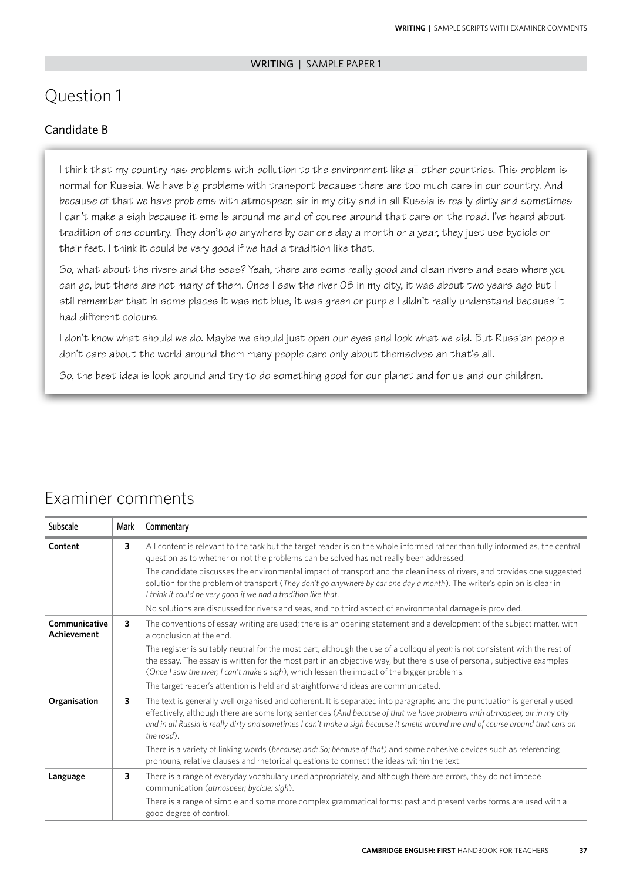# Question 1

### Candidate B

I think that my country has problems with pollution to the environment like all other countries. This problem is normal for Russia. We have big problems with transport because there are too much cars in our country. And because of that we have problems with atmospeer, air in my city and in all Russia is really dirty and sometimes I can't make a sigh because it smells around me and of course around that cars on the road. I've heard about tradition of one country. They don't go anywhere by car one day a month or a year, they just use bycicle or their feet. I think it could be very good if we had a tradition like that.

So, what about the rivers and the seas? Yeah, there are some really good and clean rivers and seas where you can go, but there are not many of them. Once I saw the river OB in my city, it was about two years ago but I stil remember that in some places it was not blue, it was green or purple I didn't really understand because it had different colours.

I don't know what should we do. Maybe we should just open our eyes and look what we did. But Russian people don't care about the world around them many people care only about themselves an that's all.

So, the best idea is look around and try to do something good for our planet and for us and our children.

| Subscale           | Mark | Commentary                                                                                                                                                                                                                                                                                                                                                                                                                                                                                                                                       |
|--------------------|------|--------------------------------------------------------------------------------------------------------------------------------------------------------------------------------------------------------------------------------------------------------------------------------------------------------------------------------------------------------------------------------------------------------------------------------------------------------------------------------------------------------------------------------------------------|
| Content            | 3    | All content is relevant to the task but the target reader is on the whole informed rather than fully informed as, the central<br>question as to whether or not the problems can be solved has not really been addressed.<br>The candidate discusses the environmental impact of transport and the cleanliness of rivers, and provides one suggested<br>solution for the problem of transport (They don't go anywhere by car one day a month). The writer's opinion is clear in<br>I think it could be very good if we had a tradition like that. |
| Communicative      | 3    | No solutions are discussed for rivers and seas, and no third aspect of environmental damage is provided.<br>The conventions of essay writing are used; there is an opening statement and a development of the subject matter, with                                                                                                                                                                                                                                                                                                               |
| <b>Achievement</b> |      | a conclusion at the end.                                                                                                                                                                                                                                                                                                                                                                                                                                                                                                                         |
|                    |      | The register is suitably neutral for the most part, although the use of a colloquial yeah is not consistent with the rest of<br>the essay. The essay is written for the most part in an objective way, but there is use of personal, subjective examples<br>(Once I saw the river; I can't make a sigh), which lessen the impact of the bigger problems.                                                                                                                                                                                         |
|                    |      | The target reader's attention is held and straightforward ideas are communicated.                                                                                                                                                                                                                                                                                                                                                                                                                                                                |
| Organisation       | 3    | The text is generally well organised and coherent. It is separated into paragraphs and the punctuation is generally used<br>effectively, although there are some long sentences (And because of that we have problems with atmospeer, air in my city<br>and in all Russia is really dirty and sometimes I can't make a sigh because it smells around me and of course around that cars on<br>the road).                                                                                                                                          |
|                    |      | There is a variety of linking words (because; and; So; because of that) and some cohesive devices such as referencing<br>pronouns, relative clauses and rhetorical questions to connect the ideas within the text.                                                                                                                                                                                                                                                                                                                               |
| Language           | 3    | There is a range of everyday vocabulary used appropriately, and although there are errors, they do not impede<br>communication (atmospeer; bycicle; sigh).                                                                                                                                                                                                                                                                                                                                                                                       |
|                    |      | There is a range of simple and some more complex grammatical forms: past and present verbs forms are used with a<br>good degree of control.                                                                                                                                                                                                                                                                                                                                                                                                      |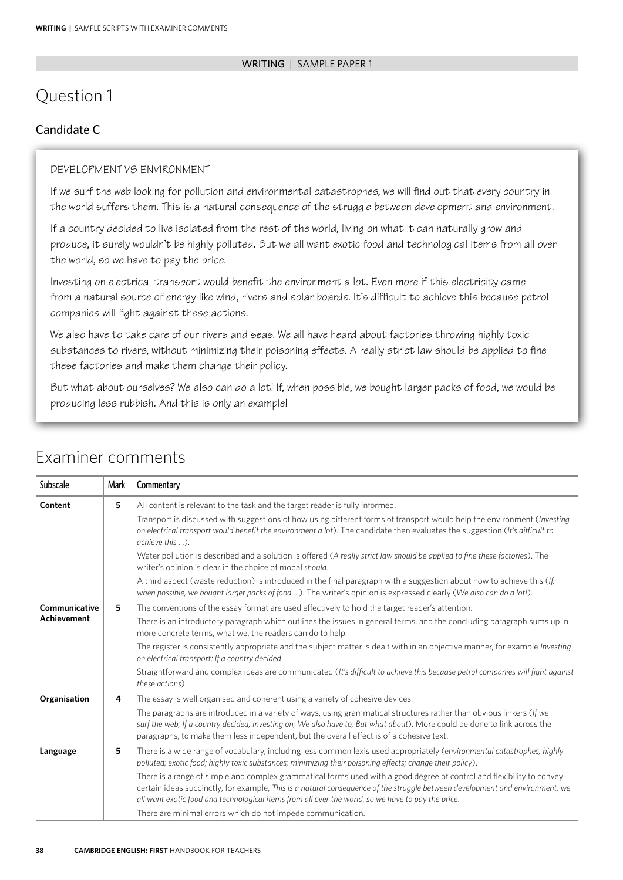# Question 1

## Candidate C

### DEVELOPMENT VS ENVIRONMENT

If we surf the web looking for pollution and environmental catastrophes, we will find out that every country in the world suffers them. This is a natural consequence of the struggle between development and environment.

If a country decided to live isolated from the rest of the world, living on what it can naturally grow and produce, it surely wouldn't be highly polluted. But we all want exotic food and technological items from all over the world, so we have to pay the price.

Investing on electrical transport would benefit the environment a lot. Even more if this electricity came from a natural source of energy like wind, rivers and solar boards. It's difficult to achieve this because petrol companies will fight against these actions.

We also have to take care of our rivers and seas. We all have heard about factories throwing highly toxic substances to rivers, without minimizing their poisoning effects. A really strict law should be applied to fine these factories and make them change their policy.

But what about ourselves? We also can do a lot! If, when possible, we bought larger packs of food, we would be producing less rubbish. And this is only an example!

| Subscale           | Mark | Commentary                                                                                                                                                                                                                                                                                                                                                  |
|--------------------|------|-------------------------------------------------------------------------------------------------------------------------------------------------------------------------------------------------------------------------------------------------------------------------------------------------------------------------------------------------------------|
| Content            | 5    | All content is relevant to the task and the target reader is fully informed.<br>Transport is discussed with suggestions of how using different forms of transport would help the environment (Investing                                                                                                                                                     |
|                    |      | on electrical transport would benefit the environment a lot). The candidate then evaluates the suggestion (It's difficult to<br>achieve this ).                                                                                                                                                                                                             |
|                    |      | Water pollution is described and a solution is offered (A really strict law should be applied to fine these factories). The<br>writer's opinion is clear in the choice of modal should.                                                                                                                                                                     |
|                    |      | A third aspect (waste reduction) is introduced in the final paragraph with a suggestion about how to achieve this $(f_t)$<br>when possible, we bought larger packs of food ). The writer's opinion is expressed clearly (We also can do a lot!).                                                                                                            |
| Communicative      | 5    | The conventions of the essay format are used effectively to hold the target reader's attention.                                                                                                                                                                                                                                                             |
| <b>Achievement</b> |      | There is an introductory paragraph which outlines the issues in general terms, and the concluding paragraph sums up in<br>more concrete terms, what we, the readers can do to help.                                                                                                                                                                         |
|                    |      | The register is consistently appropriate and the subject matter is dealt with in an objective manner, for example <i>Investing</i><br>on electrical transport; If a country decided.                                                                                                                                                                        |
|                    |      | Straightforward and complex ideas are communicated (It's difficult to achieve this because petrol companies will fight against<br>these actions).                                                                                                                                                                                                           |
| Organisation       | 4    | The essay is well organised and coherent using a variety of cohesive devices.                                                                                                                                                                                                                                                                               |
|                    |      | The paragraphs are introduced in a variety of ways, using grammatical structures rather than obvious linkers (If we<br>surf the web; If a country decided; Investing on; We also have to; But what about). More could be done to link across the<br>paragraphs, to make them less independent, but the overall effect is of a cohesive text.                |
| Language           | 5    | There is a wide range of vocabulary, including less common lexis used appropriately (environmental catastrophes; highly<br>polluted; exotic food; highly toxic substances; minimizing their poisoning effects; change their policy).                                                                                                                        |
|                    |      | There is a range of simple and complex grammatical forms used with a good degree of control and flexibility to convey<br>certain ideas succinctly, for example, This is a natural consequence of the struggle between development and environment; we<br>all want exotic food and technological items from all over the world, so we have to pay the price. |
|                    |      | There are minimal errors which do not impede communication.                                                                                                                                                                                                                                                                                                 |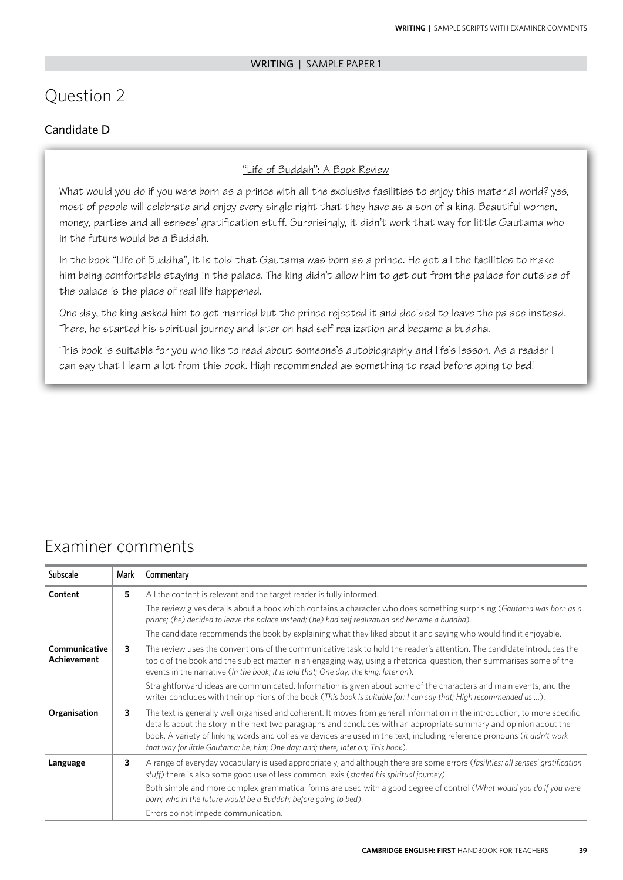# Question 2

### Candidate D

"Life of Buddah": A Book Review

What would you do if you were born as a prince with all the exclusive fasilities to enjoy this material world? yes, most of people will celebrate and enjoy every single right that they have as a son of a king. Beautiful women, money, parties and all senses' gratification stuff. Surprisingly, it didn't work that way for little Gautama who in the future would be a Buddah.

In the book "Life of Buddha", it is told that Gautama was born as a prince. He got all the facilities to make him being comfortable staying in the palace. The king didn't allow him to get out from the palace for outside of the palace is the place of real life happened.

One day, the king asked him to get married but the prince rejected it and decided to leave the palace instead. There, he started his spiritual journey and later on had self realization and became a buddha.

This book is suitable for you who like to read about someone's autobiography and life's lesson. As a reader I can say that I learn a lot from this book. High recommended as something to read before going to bed!

| Subscale                            | Mark | Commentary                                                                                                                                                                                                                                                                                                                                                                                                                                                       |
|-------------------------------------|------|------------------------------------------------------------------------------------------------------------------------------------------------------------------------------------------------------------------------------------------------------------------------------------------------------------------------------------------------------------------------------------------------------------------------------------------------------------------|
| Content                             | 5    | All the content is relevant and the target reader is fully informed.                                                                                                                                                                                                                                                                                                                                                                                             |
|                                     |      | The review gives details about a book which contains a character who does something surprising (Gautama was born as a<br>prince; (he) decided to leave the palace instead; (he) had self realization and became a buddha).                                                                                                                                                                                                                                       |
|                                     |      | The candidate recommends the book by explaining what they liked about it and saying who would find it enjoyable.                                                                                                                                                                                                                                                                                                                                                 |
| Communicative<br><b>Achievement</b> | 3    | The review uses the conventions of the communicative task to hold the reader's attention. The candidate introduces the<br>topic of the book and the subject matter in an engaging way, using a rhetorical question, then summarises some of the<br>events in the narrative (In the book; it is told that; One day; the king; later on).                                                                                                                          |
|                                     |      | Straightforward ideas are communicated. Information is given about some of the characters and main events, and the<br>writer concludes with their opinions of the book (This book is suitable for; I can say that; High recommended as ).                                                                                                                                                                                                                        |
| Organisation                        | 3    | The text is generally well organised and coherent. It moves from general information in the introduction, to more specific<br>details about the story in the next two paragraphs and concludes with an appropriate summary and opinion about the<br>book. A variety of linking words and cohesive devices are used in the text, including reference pronouns (it didn't work<br>that way for little Gautama; he; him; One day; and; there; later on; This book). |
| Language                            | 3    | A range of everyday vocabulary is used appropriately, and although there are some errors (fasilities; all senses' gratification<br>stuff) there is also some good use of less common lexis (started his spiritual journey).                                                                                                                                                                                                                                      |
|                                     |      | Both simple and more complex grammatical forms are used with a good degree of control (What would you do if you were<br>born; who in the future would be a Buddah; before going to bed).                                                                                                                                                                                                                                                                         |
|                                     |      | Errors do not impede communication.                                                                                                                                                                                                                                                                                                                                                                                                                              |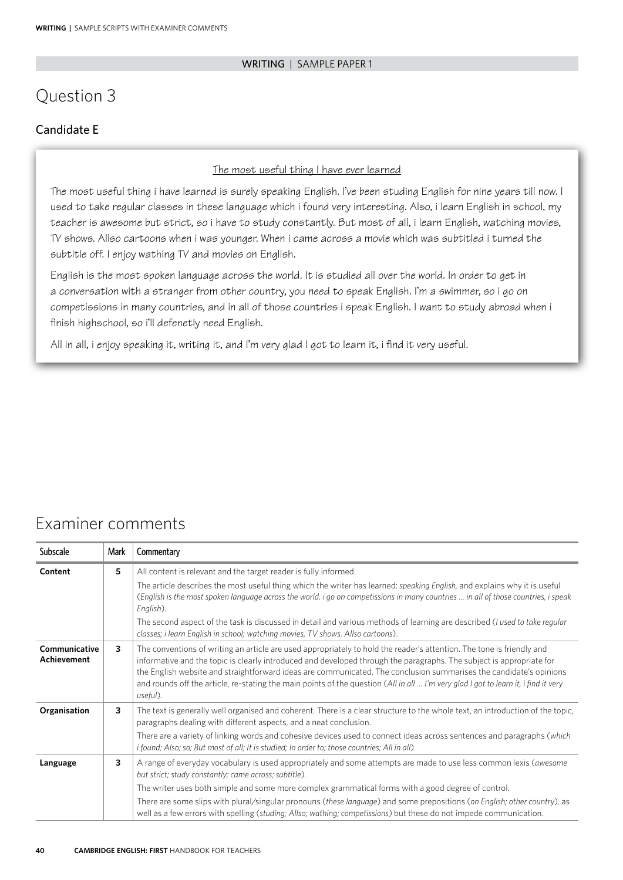# Question 3

## Candidate E

### The most useful thing I have ever learned

The most useful thing i have learned is surely speaking English. I've been studing English for nine years till now. I used to take regular classes in these language which i found very interesting. Also, i learn English in school, my teacher is awesome but strict, so i have to study constantly. But most of all, i learn English, watching movies, TV shows. Allso cartoons when i was younger. When i came across a movie which was subtitled i turned the subtitle off. I enjoy wathing TV and movies on English.

English is the most spoken language across the world. It is studied all over the world. In order to get in a conversation with a stranger from other country, you need to speak English. I'm a swimmer, so i go on competissions in many countries, and in all of those countries i speak English. I want to study abroad when i finish highschool, so i'll defenetly need English.

All in all, i enjoy speaking it, writing it, and I'm very glad I got to learn it, i find it very useful.

| Subscale                     | Mark | Commentary                                                                                                                                                                                                                                                                                                                                                                                                                                                                                                             |
|------------------------------|------|------------------------------------------------------------------------------------------------------------------------------------------------------------------------------------------------------------------------------------------------------------------------------------------------------------------------------------------------------------------------------------------------------------------------------------------------------------------------------------------------------------------------|
| Content                      | 5    | All content is relevant and the target reader is fully informed.                                                                                                                                                                                                                                                                                                                                                                                                                                                       |
|                              |      | The article describes the most useful thing which the writer has learned: speaking English, and explains why it is useful<br>(English is the most spoken language across the world. <i>i</i> go on competissions in many countries  in all of those countries, <i>i</i> speak<br>English).                                                                                                                                                                                                                             |
|                              |      | The second aspect of the task is discussed in detail and various methods of learning are described ( <i>I used to take regular</i><br>classes; i learn English in school; watching movies, TV shows. Allso cartoons).                                                                                                                                                                                                                                                                                                  |
| Communicative<br>Achievement | 3    | The conventions of writing an article are used appropriately to hold the reader's attention. The tone is friendly and<br>informative and the topic is clearly introduced and developed through the paragraphs. The subject is appropriate for<br>the English website and straightforward ideas are communicated. The conclusion summarises the candidate's opinions<br>and rounds off the article, re-stating the main points of the question (All in all  I'm very glad I got to learn it, i find it very<br>useful). |
| Organisation                 | 3    | The text is generally well organised and coherent. There is a clear structure to the whole text, an introduction of the topic,<br>paragraphs dealing with different aspects, and a neat conclusion.                                                                                                                                                                                                                                                                                                                    |
|                              |      | There are a variety of linking words and cohesive devices used to connect ideas across sentences and paragraphs (which<br>i found; Also; so; But most of all; It is studied; In order to; those countries; All in all).                                                                                                                                                                                                                                                                                                |
| Language                     | 3    | A range of everyday vocabulary is used appropriately and some attempts are made to use less common lexis (awesome<br>but strict; study constantly; came across; subtitle).                                                                                                                                                                                                                                                                                                                                             |
|                              |      | The writer uses both simple and some more complex grammatical forms with a good degree of control.                                                                                                                                                                                                                                                                                                                                                                                                                     |
|                              |      | There are some slips with plural/singular pronouns (these language) and some prepositions (on English; other country), as<br>well as a few errors with spelling (studing; Allso; wathing; competissions) but these do not impede communication.                                                                                                                                                                                                                                                                        |